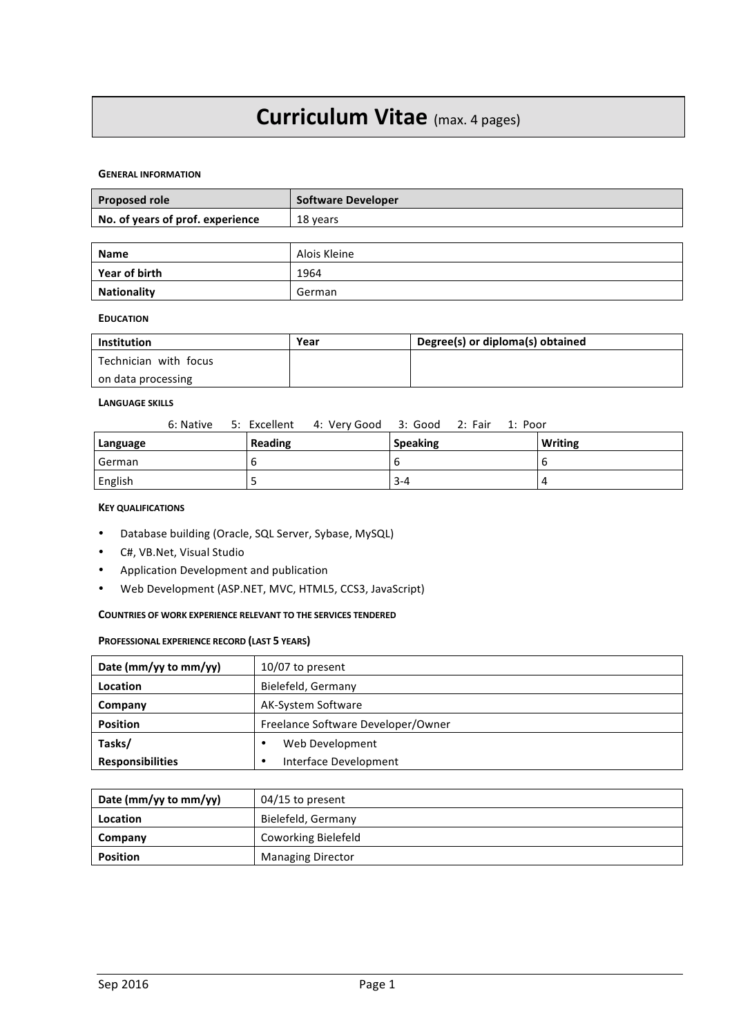# **Curriculum Vitae** (max. 4 pages)

#### **GENERAL INFORMATION**

| <b>Proposed role</b>             | <b>Software Developer</b> |
|----------------------------------|---------------------------|
| No. of years of prof. experience | 18 years                  |
|                                  |                           |
| <b>Name</b>                      | Alois Kleine              |
| Year of birth                    | 1964                      |

## **EDUCATION**

| Institution           | Year | Degree(s) or diploma(s) obtained |
|-----------------------|------|----------------------------------|
| Technician with focus |      |                                  |
| on data processing    |      |                                  |

## **LANGUAGE SKILLS**

|          | 6: Native 5: Excellent 4: Very Good 3: Good 2: Fair 1: Poor |         |                 |  |                |
|----------|-------------------------------------------------------------|---------|-----------------|--|----------------|
| Language |                                                             | Reading | <b>Speaking</b> |  | <b>Writing</b> |
| German   |                                                             | b       |                 |  |                |
| English  |                                                             |         | $3 - 4$         |  |                |

## **KEY QUALIFICATIONS**

- Database building (Oracle, SQL Server, Sybase, MySQL)
- C#, VB.Net, Visual Studio
- Application Development and publication

**Nationality German** 

• Web Development (ASP.NET, MVC, HTML5, CCS3, JavaScript)

## **COUNTRIES OF WORK EXPERIENCE RELEVANT TO THE SERVICES TENDERED**

## **PROFESSIONAL EXPERIENCE RECORD (LAST 5 YEARS)**

| Date (mm/yy to mm/yy)   | $10/07$ to present                 |  |
|-------------------------|------------------------------------|--|
| Location                | Bielefeld, Germany                 |  |
| Company                 | AK-System Software                 |  |
| <b>Position</b>         | Freelance Software Developer/Owner |  |
| Tasks/                  | Web Development                    |  |
| <b>Responsibilities</b> | Interface Development              |  |

| Date (mm/yy to mm/yy) | $04/15$ to present       |  |
|-----------------------|--------------------------|--|
| Location              | Bielefeld, Germany       |  |
| Company               | Coworking Bielefeld      |  |
| <b>Position</b>       | <b>Managing Director</b> |  |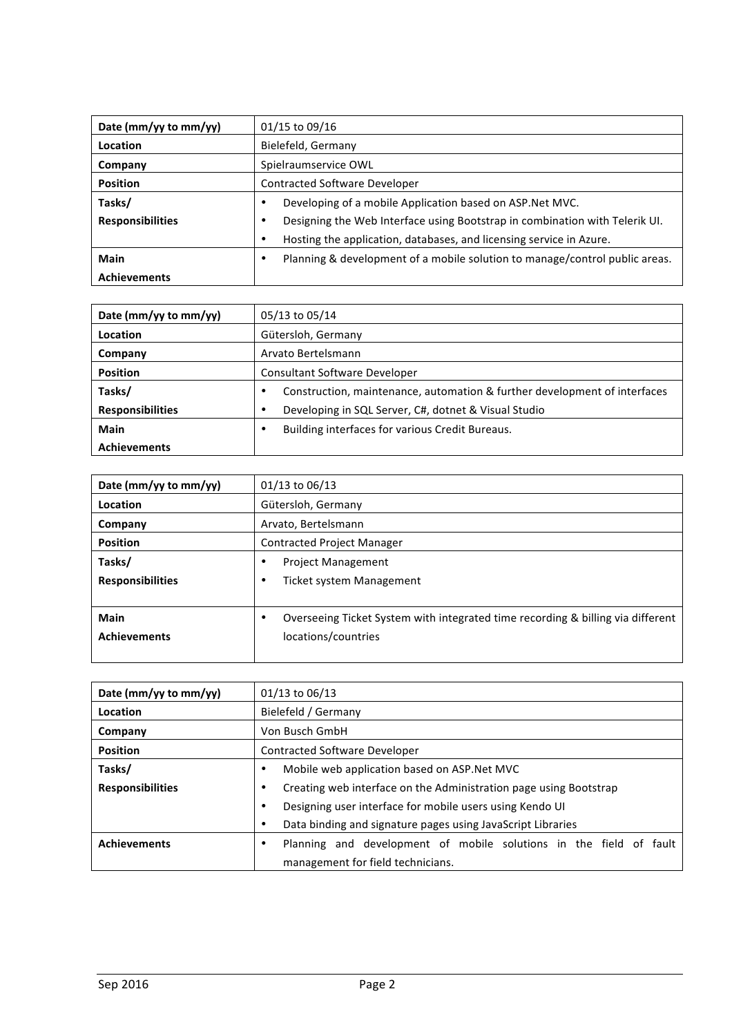| Date (mm/yy to mm/yy)   | 01/15 to 09/16                                                              |  |  |
|-------------------------|-----------------------------------------------------------------------------|--|--|
| Location                | Bielefeld, Germany                                                          |  |  |
| Company                 | Spielraumservice OWL                                                        |  |  |
| <b>Position</b>         | <b>Contracted Software Developer</b>                                        |  |  |
| Tasks/                  | Developing of a mobile Application based on ASP.Net MVC.                    |  |  |
| <b>Responsibilities</b> | Designing the Web Interface using Bootstrap in combination with Telerik UI. |  |  |
|                         | Hosting the application, databases, and licensing service in Azure.         |  |  |
| Main                    | Planning & development of a mobile solution to manage/control public areas. |  |  |
| <b>Achievements</b>     |                                                                             |  |  |

| Date (mm/yy to mm/yy)   | 05/13 to 05/14                                                            |  |
|-------------------------|---------------------------------------------------------------------------|--|
| Location                | Gütersloh, Germany                                                        |  |
| Company                 | Arvato Bertelsmann                                                        |  |
| <b>Position</b>         | Consultant Software Developer                                             |  |
| Tasks/                  | Construction, maintenance, automation & further development of interfaces |  |
| <b>Responsibilities</b> | Developing in SQL Server, C#, dotnet & Visual Studio                      |  |
| Main                    | Building interfaces for various Credit Bureaus.                           |  |
| <b>Achievements</b>     |                                                                           |  |

| Date (mm/yy to mm/yy)   | 01/13 to 06/13                                                                  |  |
|-------------------------|---------------------------------------------------------------------------------|--|
| Location                | Gütersloh, Germany                                                              |  |
| Company                 | Arvato, Bertelsmann                                                             |  |
| <b>Position</b>         | <b>Contracted Project Manager</b>                                               |  |
| Tasks/                  | <b>Project Management</b>                                                       |  |
| <b>Responsibilities</b> | <b>Ticket system Management</b>                                                 |  |
|                         |                                                                                 |  |
| <b>Main</b>             | Overseeing Ticket System with integrated time recording & billing via different |  |
| <b>Achievements</b>     | locations/countries                                                             |  |
|                         |                                                                                 |  |

| Date (mm/yy to mm/yy)   | 01/13 to 06/13                                                         |  |  |
|-------------------------|------------------------------------------------------------------------|--|--|
| Location                | Bielefeld / Germany                                                    |  |  |
| Company                 | Von Busch GmbH                                                         |  |  |
| <b>Position</b>         | <b>Contracted Software Developer</b>                                   |  |  |
| Tasks/                  | Mobile web application based on ASP.Net MVC<br>٠                       |  |  |
| <b>Responsibilities</b> | Creating web interface on the Administration page using Bootstrap<br>٠ |  |  |
|                         | Designing user interface for mobile users using Kendo UI<br>$\bullet$  |  |  |
|                         | Data binding and signature pages using JavaScript Libraries<br>٠       |  |  |
| <b>Achievements</b>     | Planning and development of mobile solutions in the field of fault     |  |  |
|                         | management for field technicians.                                      |  |  |